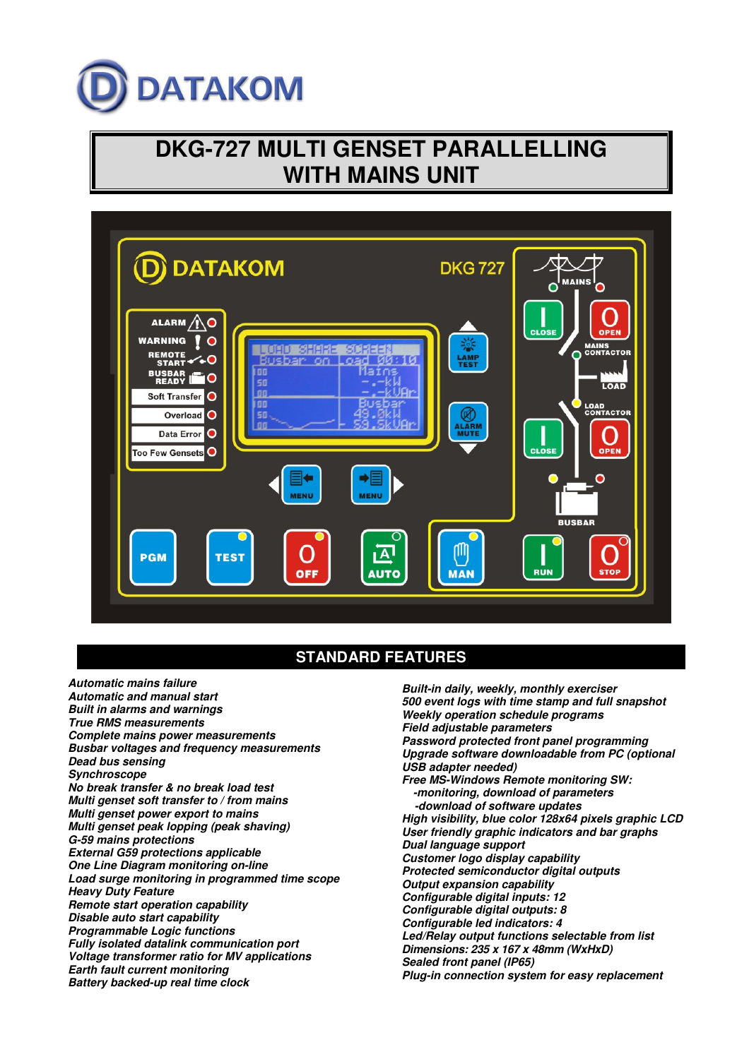

# **DKG-727 MULTI GENSET PARALLELLING WITH MAINS UNIT**



## **STANDARD FEATURES**

**Automatic mains failure Automatic and manual start Built in alarms and warnings True RMS measurements Complete mains power measurements Busbar voltages and frequency measurements Dead bus sensing Synchroscope No break transfer & no break load test Multi genset soft transfer to / from mains Multi genset power export to mains Multi genset peak lopping (peak shaving) G-59 mains protections External G59 protections applicable One Line Diagram monitoring on-line Load surge monitoring in programmed time scope Heavy Duty Feature Remote start operation capability Disable auto start capability Programmable Logic functions Fully isolated datalink communication port Voltage transformer ratio for MV applications Earth fault current monitoring Battery backed-up real time clock** 

**Built-in daily, weekly, monthly exerciser 500 event logs with time stamp and full snapshot Weekly operation schedule programs Field adjustable parameters Password protected front panel programming Upgrade software downloadable from PC (optional USB adapter needed) Free MS-Windows Remote monitoring SW: -monitoring, download of parameters -download of software updates High visibility, blue color 128x64 pixels graphic LCD User friendly graphic indicators and bar graphs Dual language support Customer logo display capability Protected semiconductor digital outputs Output expansion capability Configurable digital inputs: 12 Configurable digital outputs: 8 Configurable led indicators: 4 Led/Relay output functions selectable from list Dimensions: 235 x 167 x 48mm (WxHxD) Sealed front panel (IP65) Plug-in connection system for easy replacement**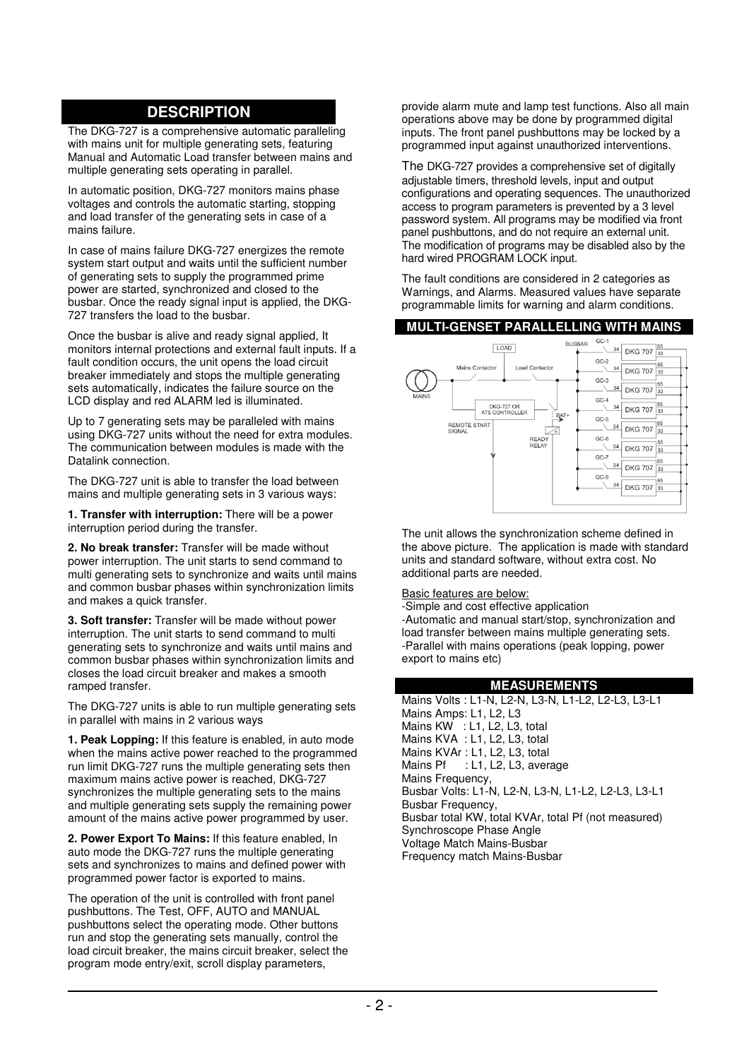# **DESCRIPTION**

The DKG-727 is a comprehensive automatic paralleling with mains unit for multiple generating sets, featuring Manual and Automatic Load transfer between mains and multiple generating sets operating in parallel.

In automatic position, DKG-727 monitors mains phase voltages and controls the automatic starting, stopping and load transfer of the generating sets in case of a mains failure.

In case of mains failure DKG-727 energizes the remote system start output and waits until the sufficient number of generating sets to supply the programmed prime power are started, synchronized and closed to the busbar. Once the ready signal input is applied, the DKG-727 transfers the load to the busbar.

Once the busbar is alive and ready signal applied, It monitors internal protections and external fault inputs. If a fault condition occurs, the unit opens the load circuit breaker immediately and stops the multiple generating sets automatically, indicates the failure source on the LCD display and red ALARM led is illuminated.

Up to 7 generating sets may be paralleled with mains using DKG-727 units without the need for extra modules. The communication between modules is made with the Datalink connection.

The DKG-727 unit is able to transfer the load between mains and multiple generating sets in 3 various ways:

**1. Transfer with interruption:** There will be a power interruption period during the transfer.

**2. No break transfer:** Transfer will be made without power interruption. The unit starts to send command to multi generating sets to synchronize and waits until mains and common busbar phases within synchronization limits and makes a quick transfer.

**3. Soft transfer:** Transfer will be made without power interruption. The unit starts to send command to multi generating sets to synchronize and waits until mains and common busbar phases within synchronization limits and closes the load circuit breaker and makes a smooth ramped transfer.

The DKG-727 units is able to run multiple generating sets in parallel with mains in 2 various ways

**1. Peak Lopping:** If this feature is enabled, in auto mode when the mains active power reached to the programmed run limit DKG-727 runs the multiple generating sets then maximum mains active power is reached, DKG-727 synchronizes the multiple generating sets to the mains and multiple generating sets supply the remaining power amount of the mains active power programmed by user.

**2. Power Export To Mains:** If this feature enabled, In auto mode the DKG-727 runs the multiple generating sets and synchronizes to mains and defined power with programmed power factor is exported to mains.

The operation of the unit is controlled with front panel pushbuttons. The Test, OFF, AUTO and MANUAL pushbuttons select the operating mode. Other buttons run and stop the generating sets manually, control the load circuit breaker, the mains circuit breaker, select the program mode entry/exit, scroll display parameters,

provide alarm mute and lamp test functions. Also all main operations above may be done by programmed digital inputs. The front panel pushbuttons may be locked by a programmed input against unauthorized interventions.

The DKG-727 provides a comprehensive set of digitally adjustable timers, threshold levels, input and output configurations and operating sequences. The unauthorized access to program parameters is prevented by a 3 level password system. All programs may be modified via front panel pushbuttons, and do not require an external unit. The modification of programs may be disabled also by the hard wired PROGRAM LOCK input.

The fault conditions are considered in 2 categories as Warnings, and Alarms. Measured values have separate programmable limits for warning and alarm conditions.

#### **MULTI-GENSET PARALLELLING WITH MAINS**



The unit allows the synchronization scheme defined in the above picture. The application is made with standard units and standard software, without extra cost. No additional parts are needed.

Basic features are below:

-Simple and cost effective application -Automatic and manual start/stop, synchronization and load transfer between mains multiple generating sets. -Parallel with mains operations (peak lopping, power export to mains etc)

#### **MEASUREMENTS**

Mains Volts : L1-N, L2-N, L3-N, L1-L2, L2-L3, L3-L1 Mains Amps: L1, L2, L3 Mains KW : L1, L2, L3, total Mains KVA : L1, L2, L3, total Mains KVAr : L1, L2, L3, total Mains Pf : L1, L2, L3, average Mains Frequency, Busbar Volts: L1-N, L2-N, L3-N, L1-L2, L2-L3, L3-L1 Busbar Frequency, Busbar total KW, total KVAr, total Pf (not measured) Synchroscope Phase Angle Voltage Match Mains-Busbar Frequency match Mains-Busbar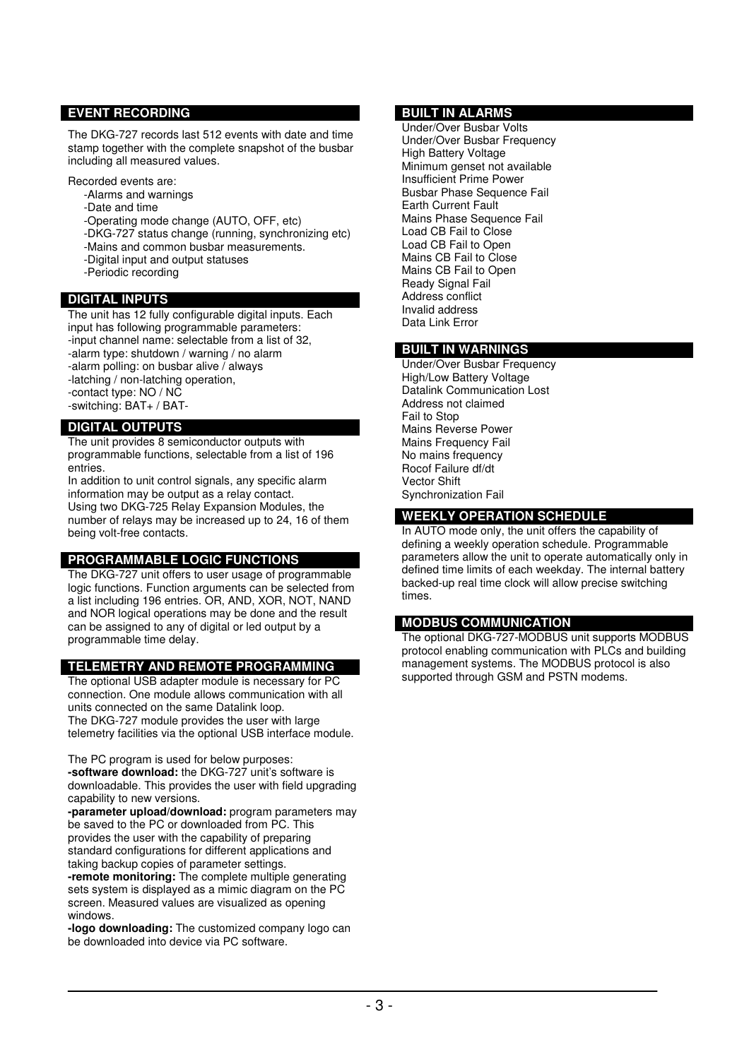## **EVENT RECORDING**

The DKG-727 records last 512 events with date and time stamp together with the complete snapshot of the busbar including all measured values.

Recorded events are:

- -Alarms and warnings
- -Date and time
- -Operating mode change (AUTO, OFF, etc)
- -DKG-727 status change (running, synchronizing etc)
- -Mains and common busbar measurements.
- -Digital input and output statuses
- -Periodic recording

#### **DIGITAL INPUTS**

The unit has 12 fully configurable digital inputs. Each input has following programmable parameters:

- -input channel name: selectable from a list of 32,
- -alarm type: shutdown / warning / no alarm
- -alarm polling: on busbar alive / always
- -latching / non-latching operation, -contact type: NO / NC
- -switching: BAT+ / BAT-

## **DIGITAL OUTPUTS**

The unit provides 8 semiconductor outputs with programmable functions, selectable from a list of 196 entries.

In addition to unit control signals, any specific alarm information may be output as a relay contact. Using two DKG-725 Relay Expansion Modules, the number of relays may be increased up to 24, 16 of them being volt-free contacts.

#### **PROGRAMMABLE LOGIC FUNCTIONS**

The DKG-727 unit offers to user usage of programmable logic functions. Function arguments can be selected from a list including 196 entries. OR, AND, XOR, NOT, NAND and NOR logical operations may be done and the result can be assigned to any of digital or led output by a programmable time delay.

## **TELEMETRY AND REMOTE PROGRAMMING**

The optional USB adapter module is necessary for PC connection. One module allows communication with all units connected on the same Datalink loop. The DKG-727 module provides the user with large telemetry facilities via the optional USB interface module.

The PC program is used for below purposes: **-software download:** the DKG-727 unit's software is downloadable. This provides the user with field upgrading capability to new versions.

**-parameter upload/download:** program parameters may be saved to the PC or downloaded from PC. This provides the user with the capability of preparing standard configurations for different applications and taking backup copies of parameter settings.

**-remote monitoring:** The complete multiple generating sets system is displayed as a mimic diagram on the PC screen. Measured values are visualized as opening windows.

**-logo downloading:** The customized company logo can be downloaded into device via PC software.

#### **BUILT IN ALARMS**

Under/Over Busbar Volts Under/Over Busbar Frequency High Battery Voltage Minimum genset not available Insufficient Prime Power Busbar Phase Sequence Fail Earth Current Fault Mains Phase Sequence Fail Load CB Fail to Close Load CB Fail to Open Mains CB Fail to Close Mains CB Fail to Open Ready Signal Fail Address conflict Invalid address Data Link Error

#### **BUILT IN WARNINGS**

Under/Over Busbar Frequency High/Low Battery Voltage Datalink Communication Lost Address not claimed Fail to Stop Mains Reverse Power Mains Frequency Fail No mains frequency Rocof Failure df/dt Vector Shift Synchronization Fail

#### **WEEKLY OPERATION SCHEDULE**

In AUTO mode only, the unit offers the capability of defining a weekly operation schedule. Programmable parameters allow the unit to operate automatically only in defined time limits of each weekday. The internal battery backed-up real time clock will allow precise switching times.

#### **MODBUS COMMUNICATION**

The optional DKG-727-MODBUS unit supports MODBUS protocol enabling communication with PLCs and building management systems. The MODBUS protocol is also supported through GSM and PSTN modems.